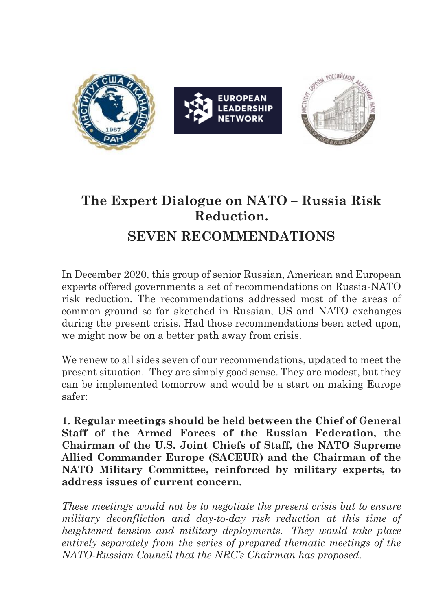

## **The Expert Dialogue on NATO – Russia Risk Reduction. SEVEN RECOMMENDATIONS**

In December 2020, this group of senior Russian, American and European experts offered governments a set of recommendations on Russia-NATO risk reduction. The recommendations addressed most of the areas of common ground so far sketched in Russian, US and NATO exchanges during the present crisis. Had those recommendations been acted upon, we might now be on a better path away from crisis.

We renew to all sides seven of our recommendations, updated to meet the present situation. They are simply good sense. They are modest, but they can be implemented tomorrow and would be a start on making Europe safer:

**1. Regular meetings should be held between the Chief of General Staff of the Armed Forces of the Russian Federation, the Chairman of the U.S. Joint Chiefs of Staff, the NATO Supreme Allied Commander Europe (SACEUR) and the Chairman of the NATO Military Committee, reinforced by military experts, to address issues of current concern.**

*These meetings would not be to negotiate the present crisis but to ensure military deconfliction and day-to-day risk reduction at this time of heightened tension and military deployments. They would take place entirely separately from the series of prepared thematic meetings of the NATO-Russian Council that the NRC's Chairman has proposed.*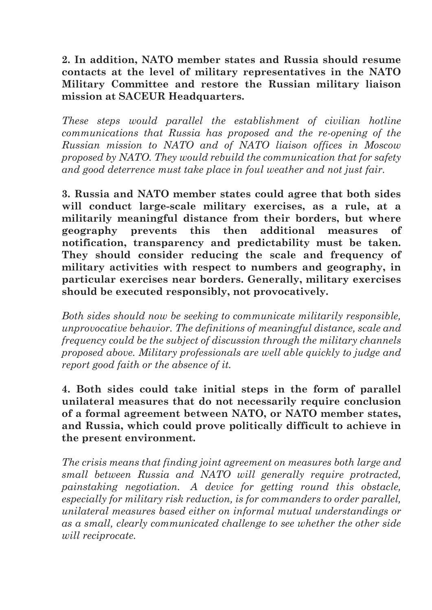## **2. In addition, NATO member states and Russia should resume contacts at the level of military representatives in the NATO Military Committee and restore the Russian military liaison mission at SACEUR Headquarters.**

*These steps would parallel the establishment of civilian hotline communications that Russia has proposed and the re-opening of the Russian mission to NATO and of NATO liaison offices in Moscow proposed by NATO. They would rebuild the communication that for safety and good deterrence must take place in foul weather and not just fair.*

**3. Russia and NATO member states could agree that both sides will conduct large-scale military exercises, as a rule, at a militarily meaningful distance from their borders, but where geography prevents this then additional measures of notification, transparency and predictability must be taken. They should consider reducing the scale and frequency of military activities with respect to numbers and geography, in particular exercises near borders. Generally, military exercises should be executed responsibly, not provocatively.**

*Both sides should now be seeking to communicate militarily responsible, unprovocative behavior. The definitions of meaningful distance, scale and frequency could be the subject of discussion through the military channels proposed above. Military professionals are well able quickly to judge and report good faith or the absence of it.*

**4. Both sides could take initial steps in the form of parallel unilateral measures that do not necessarily require conclusion of a formal agreement between NATO, or NATO member states, and Russia, which could prove politically difficult to achieve in the present environment.**

*The crisis means that finding joint agreement on measures both large and small between Russia and NATO will generally require protracted, painstaking negotiation. A device for getting round this obstacle, especially for military risk reduction, is for commanders to order parallel, unilateral measures based either on informal mutual understandings or as a small, clearly communicated challenge to see whether the other side will reciprocate.*